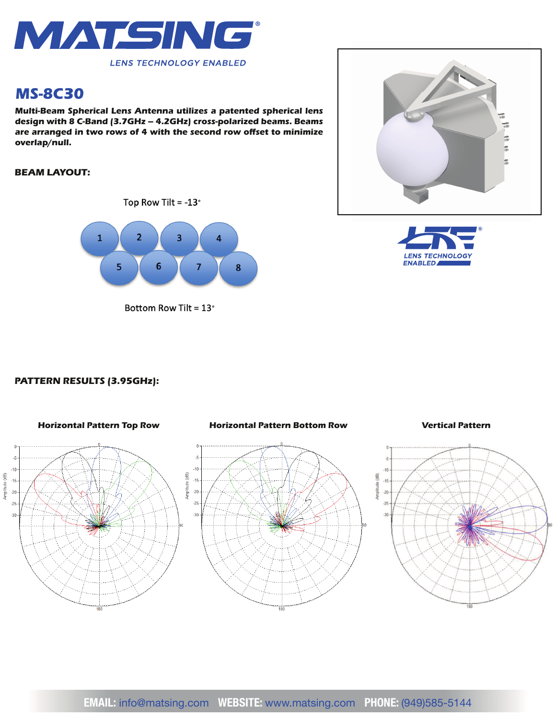

# *MS-8C30*

*Multi-Beam Spherical Lens Antenna utilizes a patented spherical lens design with 8 C-Band (3.7GHz – 4.2GHz) cross-polarized beams. Beams*  are arranged in two rows of 4 with the second row offset to minimize *overlap/null.*

# *BEAM LAYOUT:*





Bottom Row Tilt = 13°





## *PATTERN RESULTS (3.95GHz):*